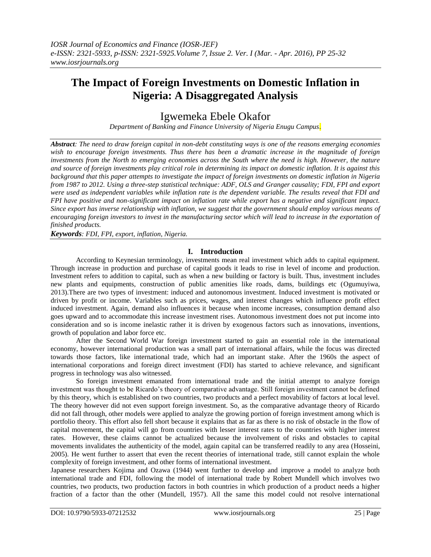# **The Impact of Foreign Investments on Domestic Inflation in Nigeria: A Disaggregated Analysis**

## Igwemeka Ebele Okafor

*Department of Banking and Finance University of Nigeria Enugu Campus.*

*Abstract: The need to draw foreign capital in non-debt constituting ways is one of the reasons emerging economies wish to encourage foreign investments. Thus there has been a dramatic increase in the magnitude of foreign investments from the North to emerging economies across the South where the need is high. However, the nature and source of foreign investments play critical role in determining its impact on domestic inflation. It is against this background that this paper attempts to investigate the impact of foreign investments on domestic inflation in Nigeria from 1987 to 2012. Using a three-step statistical technique: ADF, OLS and Granger causality; FDI, FPI and export were used as independent variables while inflation rate is the dependent variable. The results reveal that FDI and FPI have positive and non-significant impact on inflation rate while export has a negative and significant impact. Since export has inverse relationship with inflation, we suggest that the government should employ various means of encouraging foreign investors to invest in the manufacturing sector which will lead to increase in the exportation of finished products.*

*Keywords: FDI, FPI, export, inflation, Nigeria.*

## **I. Introduction**

According to Keynesian terminology, investments mean real investment which adds to capital equipment. Through increase in production and purchase of capital goods it leads to rise in level of income and production. Investment refers to addition to capital, such as when a new building or factory is built. Thus, investment includes new plants and equipments, construction of public amenities like roads, dams, buildings etc (Ogumuyiwa, 2013).There are two types of investment: induced and autonomous investment. Induced investment is motivated or driven by profit or income. Variables such as prices, wages, and interest changes which influence profit effect induced investment. Again, demand also influences it because when income increases, consumption demand also goes upward and to accommodate this increase investment rises. Autonomous investment does not put income into consideration and so is income inelastic rather it is driven by exogenous factors such as innovations, inventions, growth of population and labor force etc.

After the Second World War foreign investment started to gain an essential role in the international economy, however international production was a small part of international affairs, while the focus was directed towards those factors, like international trade, which had an important stake. After the 1960s the aspect of international corporations and foreign direct investment (FDI) has started to achieve relevance, and significant progress in technology was also witnessed.

So foreign investment emanated from international trade and the initial attempt to analyze foreign investment was thought to be Ricardo's theory of comparative advantage. Still foreign investment cannot be defined by this theory, which is established on two countries, two products and a perfect movability of factors at local level. The theory however did not even support foreign investment. So, as the comparative advantage theory of Ricardo did not fall through, other models were applied to analyze the growing portion of foreign investment among which is portfolio theory. This effort also fell short because it explains that as far as there is no risk of obstacle in the flow of capital movement, the capital will go from countries with lesser interest rates to the countries with higher interest rates. However, these claims cannot be actualized because the involvement of risks and obstacles to capital movements invalidates the authenticity of the model, again capital can be transferred readily to any area (Hosseini, 2005). He went further to assert that even the recent theories of international trade, still cannot explain the whole complexity of foreign investment, and other forms of international investment.

Japanese researchers Kojima and Ozawa (1944) went further to develop and improve a model to analyze both international trade and FDI, following the model of international trade by Robert Mundell which involves two countries, two products, two production factors in both countries in which production of a product needs a higher fraction of a factor than the other (Mundell, 1957). All the same this model could not resolve international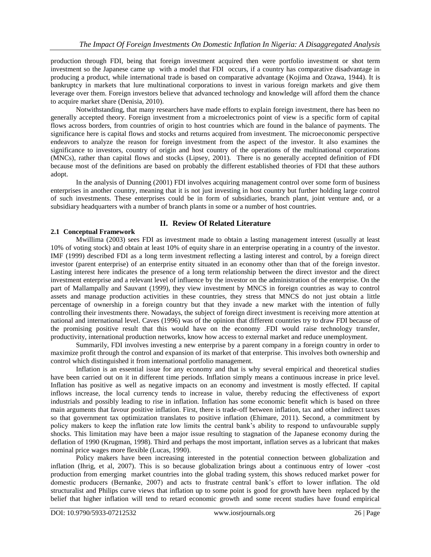production through FDI, being that foreign investment acquired then were portfolio investment or shot term investment so the Japanese came up with a model that FDI occurs, if a country has comparative disadvantage in producing a product, while international trade is based on comparative advantage (Kojima and Ozawa, 1944). It is bankruptcy in markets that lure multinational corporations to invest in various foreign markets and give them leverage over them. Foreign investors believe that advanced technology and knowledge will afford them the chance to acquire market share (Denisia, 2010).

Notwithstanding, that many researchers have made efforts to explain foreign investment, there has been no generally accepted theory. Foreign investment from a microelectronics point of view is a specific form of capital flows across borders, from countries of origin to host countries which are found in the balance of payments. The significance here is capital flows and stocks and returns acquired from investment. The microeconomic perspective endeavors to analyze the reason for foreign investment from the aspect of the investor. It also examines the significance to investors, country of origin and host country of the operations of the multinational corporations (MNCs), rather than capital flows and stocks (Lipsey, 2001). There is no generally accepted definition of FDI because most of the definitions are based on probably the different established theories of FDI that these authors adopt.

In the analysis of Dunning (2001) FDI involves acquiring management control over some form of business enterprises in another country, meaning that it is not just investing in host country but further holding large control of such investments. These enterprises could be in form of subsidiaries, branch plant, joint venture and, or a subsidiary headquarters with a number of branch plants in some or a number of host countries.

## **II. Review Of Related Literature**

## **2.1 Conceptual Framework**

Mwillima (2003) sees FDI as investment made to obtain a lasting management interest (usually at least 10% of voting stock) and obtain at least 10% of equity share in an enterprise operating in a country of the investor. IMF (1999) described FDI as a long term investment reflecting a lasting interest and control, by a foreign direct investor (parent enterprise) of an enterprise entity situated in an economy other than that of the foreign investor. Lasting interest here indicates the presence of a long term relationship between the direct investor and the direct investment enterprise and a relevant level of influence by the investor on the administration of the enterprise. On the part of Mallampally and Sauvant (1999), they view investment by MNCS in foreign countries as way to control assets and manage production activities in these countries, they stress that MNCS do not just obtain a little percentage of ownership in a foreign country but that they invade a new market with the intention of fully controlling their investments there. Nowadays, the subject of foreign direct investment is receiving more attention at national and international level. Caves (1996) was of the opinion that different countries try to draw FDI because of the promising positive result that this would have on the economy .FDI would raise technology transfer, productivity, international production networks, know how access to external market and reduce unemployment.

Summarily, FDI involves investing a new enterprise by a parent company in a foreign country in order to maximize profit through the control and expansion of its market of that enterprise. This involves both ownership and control which distinguished it from international portfolio management.

Inflation is an essential issue for any economy and that is why several empirical and theoretical studies have been carried out on it in different time periods. Inflation simply means a continuous increase in price level. Inflation has positive as well as negative impacts on an economy and investment is mostly effected. If capital inflows increase, the local currency tends to increase in value, thereby reducing the effectiveness of export industrials and possibly leading to rise in inflation. Inflation has some economic benefit which is based on three main arguments that favour positive inflation. First, there is trade-off between inflation, tax and other indirect taxes so that government tax optimization translates to positive inflation (Ehimare, 2011). Second, a commitment by policy makers to keep the inflation rate low limits the central bank's ability to respond to unfavourable supply shocks. This limitation may have been a major issue resulting to stagnation of the Japanese economy during the deflation of 1990 (Krugman, 1998). Third and perhaps the most important, inflation serves as a lubricant that makes nominal price wages more flexible (Lucas, 1990).

Policy makers have been increasing interested in the potential connection between globalization and inflation (Ihrig, et al, 2007). This is so because globalization brings about a continuous entry of lower -cost production from emerging market countries into the global trading system, this shows reduced market power for domestic producers (Bernanke, 2007) and acts to frustrate central bank's effort to lower inflation. The old structuralist and Philips curve views that inflation up to some point is good for growth have been replaced by the belief that higher inflation will tend to retard economic growth and some recent studies have found empirical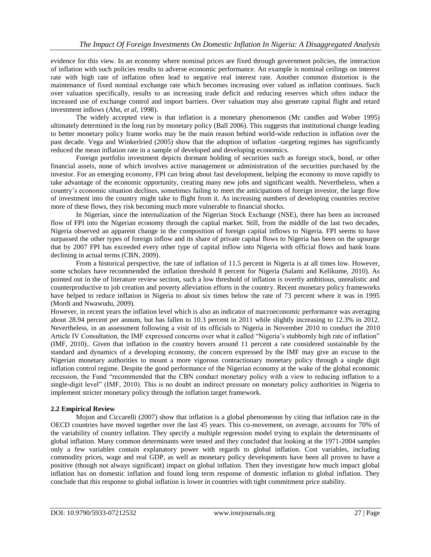evidence for this view. In an economy where nominal prices are fixed through government policies, the interaction of inflation with such policies results to adverse economic performance. An example is nominal ceilings on interest rate with high rate of inflation often lead to negative real interest rate. Another common distortion is the maintenance of fixed nominal exchange rate which becomes increasing over valued as inflation continues. Such over valuation specifically, results to an increasing trade deficit and reducing reserves which often induce the increased use of exchange control and import barriers. Over valuation may also generate capital flight and retard investment inflows (Ahn, *et al*, 1998).

The widely accepted view is that inflation is a monetary phenomenon (Mc candles and Weber 1995) ultimately determined in the long run by monetary policy (Ball 2006). This suggests that institutional change leading to better monetary policy frame works may be the main reason behind world-wide reduction in inflation over the past decade. Vega and Winkerlried (2005) show that the adoption of inflation -targeting regimes has significantly reduced the mean inflation rate in a sample of developed and developing economics.

Foreign portfolio investment depicts dormant holding of securities such as foreign stock, bond, or other financial assets, none of which involves active management or administration of the securities purchased by the investor. For an emerging economy, FPI can bring about fast development, helping the economy to move rapidly to take advantage of the economic opportunity, creating many new jobs and significant wealth. Nevertheless, when a country's economic situation declines, sometimes failing to meet the anticipations of foreign investor, the large flow of investment into the country might take to flight from it. As increasing numbers of developing countries receive more of these flows, they risk becoming much more vulnerable to financial shocks.

In Nigerian, since the internalization of the Nigerian Stock Exchange (NSE), there has been an increased flow of FPI into the Nigerian economy through the capital market. Still, from the middle of the last two decades, Nigeria observed an apparent change in the composition of foreign capital inflows to Nigeria. FPI seems to have surpassed the other types of foreign inflow and its share of private capital flows to Nigeria has been on the upsurge that by 2007 FPI has exceeded every other type of capital inflow into Nigeria with official flows and bank loans declining in actual terms (CBN, 2009).

From a historical perspective, the rate of inflation of 11.5 percent in Nigeria is at all times low. However, some scholars have recommended the inflation threshold 8 percent for Nigeria (Salami and Kelikume, 2010). As pointed out in the of literature review section, such a low threshold of inflation is overtly ambitious, unrealistic and counterproductive to job creation and poverty alleviation efforts in the country. Recent monetary policy frameworks have helped to reduce inflation in Nigeria to about six times below the rate of 73 percent where it was in 1995 (Mordi and Nwawudu, 2009).

However, in recent years the inflation level which is also an indicator of macroeconomic performance was averaging about 28.94 percent per annum, but has fallen to 10.3 percent in 2011 while slightly increasing to 12.3% in 2012. Nevertheless, in an assessment following a visit of its officials to Nigeria in November 2010 to conduct the 2010 Article IV Consultation, the IMF expressed concerns over what it called "Nigeria's stubbornly high rate of inflation" (IMF, 2010).. Given that inflation in the country hovers around 11 percent a rate considered sustainable by the standard and dynamics of a developing economy, the concern expressed by the IMF may give an excuse to the Nigerian monetary authorities to mount a more vigorous contractionary monetary policy through a single digit inflation control regime. Despite the good performance of the Nigerian economy at the wake of the global economic recession, the Fund "recommended that the CBN conduct monetary policy with a view to reducing inflation to a single-digit level" (IMF, 2010). This is no doubt an indirect pressure on monetary policy authorities in Nigeria to implement stricter monetary policy through the inflation target framework.

## **2.2 Empirical Review**

Mojon and Ciccarelli (2007) show that inflation is a global phenomenon by citing that inflation rate in the OECD countries have moved together over the last 45 years. This co-movement, on average, accounts for 70% of the variability of country inflation. They specify a multiple regression model trying to explain the determinants of global inflation. Many common determinants were tested and they concluded that looking at the 1971-2004 samples only a few variables contain explanatory power with regards to global inflation. Cost variables, including commodity prices, wage and real GDP, as well as monetary policy developments have been all proven to have a positive (though not always significant) impact on global inflation. Then they investigate how much impact global inflation has on domestic inflation and found long term response of domestic inflation to global inflation. They conclude that this response to global inflation is lower in countries with tight commitment price stability.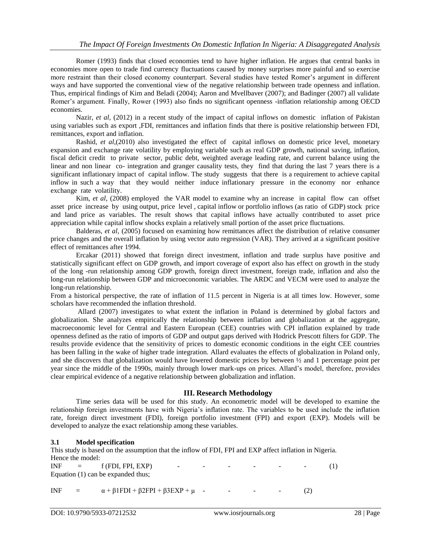Romer (1993) finds that closed economies tend to have higher inflation. He argues that central banks in economies more open to trade find currency fluctuations caused by money surprises more painful and so exercise more restraint than their closed economy counterpart. Several studies have tested Romer's argument in different ways and have supported the conventional view of the negative relationship between trade openness and inflation. Thus, empirical findings of Kim and Beladi (2004); Aaron and Mvellbaver (2007); and Badinger (2007) all validate Romer's argument. Finally, Rower (1993) also finds no significant openness -inflation relationship among OECD economies.

Nazir, *et al.* (2012) in a recent study of the impact of capital inflows on domestic inflation of Pakistan using variables such as export ,FDI, remittances and inflation finds that there is positive relationship between FDI, remittances, export and inflation.

Rashid, *et al*,(2010) also investigated the effect of capital inflows on domestic price level, monetary expansion and exchange rate volatility by employing variable such as real GDP growth, national saving, inflation, fiscal deficit credit to private sector, public debt, weighted average leading rate, and current balance using the linear and non linear co- integration and granger causality tests, they find that during the last 7 years there is a significant inflationary impact of capital inflow. The study suggests that there is a requirement to achieve capital inflow in such a way that they would neither induce inflationary pressure in the economy nor enhance exchange rate volatility.

Kim, *et al,* (2008) employed the VAR model to examine why an increase in capital flow can offset asset price increase by using output, price level , capital inflow or portfolio inflows (as ratio of GDP) stock price and land price as variables. The result shows that capital inflows have actually contributed to asset price appreciation while capital inflow shocks explain a relatively small portion of the asset price fluctuations.

Balderas, *et al,* (2005) focused on examining how remittances affect the distribution of relative consumer price changes and the overall inflation by using vector auto regression (VAR). They arrived at a significant positive effect of remittances after 1994.

Ercakar (2011) showed that foreign direct investment, inflation and trade surplus have positive and statistically significant effect on GDP growth, and import coverage of export also has effect on growth in the study of the long -run relationship among GDP growth, foreign direct investment, foreign trade, inflation and also the long-run relationship between GDP and microeconomic variables. The ARDC and VECM were used to analyze the long-run relationship.

From a historical perspective, the rate of inflation of 11.5 percent in Nigeria is at all times low. However, some scholars have recommended the inflation threshold.

Allard (2007) investigates to what extent the inflation in Poland is determined by global factors and globalization. She analyzes empirically the relationship between inflation and globalization at the aggregate, macroeconomic level for Central and Eastern European (CEE) countries with CPI inflation explained by trade openness defined as the ratio of imports of GDP and output gaps derived with Hodrick Prescott filters for GDP. The results provide evidence that the sensitivity of prices to domestic economic conditions in the eight CEE countries has been falling in the wake of higher trade integration. Allard evaluates the effects of globalization in Poland only, and she discovers that globalization would have lowered domestic prices by between ½ and 1 percentage point per year since the middle of the 1990s, mainly through lower mark-ups on prices. Allard's model, therefore, provides clear empirical evidence of a negative relationship between globalization and inflation.

## **III. Research Methodology**

Time series data will be used for this study. An econometric model will be developed to examine the relationship foreign investments have with Nigeria's inflation rate. The variables to be used include the inflation rate, foreign direct investment (FDI), foreign portfolio investment (FPI) and export (EXP). Models will be developed to analyze the exact relationship among these variables.

## **3.1 Model specification**

This study is based on the assumption that the inflow of FDI, FPI and EXP affect inflation in Nigeria. Hence the model:

 $INF = f(FDI, FPI, EXP)$  - - - - - - (1) Equation (1) can be expanded thus;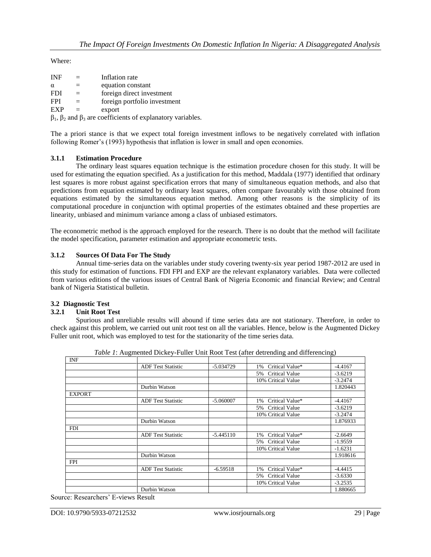Where:

| <b>INF</b> |     | Inflation rate                                                                 |
|------------|-----|--------------------------------------------------------------------------------|
| $\alpha$   | $=$ | equation constant                                                              |
| <b>FDI</b> | $=$ | foreign direct investment                                                      |
| <b>FPI</b> | $=$ | foreign portfolio investment                                                   |
| EXP        | $=$ | export                                                                         |
|            |     | $\beta_1$ , $\beta_2$ and $\beta_3$ are coefficients of explanatory variables. |

The a priori stance is that we expect total foreign investment inflows to be negatively correlated with inflation following Romer's (1993) hypothesis that inflation is lower in small and open economies.

## **3.1.1 Estimation Procedure**

The ordinary least squares equation technique is the estimation procedure chosen for this study. It will be used for estimating the equation specified. As a justification for this method, Maddala (1977) identified that ordinary lest squares is more robust against specification errors that many of simultaneous equation methods, and also that predictions from equation estimated by ordinary least squares, often compare favourably with those obtained from equations estimated by the simultaneous equation method. Among other reasons is the simplicity of its computational procedure in conjunction with optimal properties of the estimates obtained and these properties are linearity, unbiased and minimum variance among a class of unbiased estimators.

The econometric method is the approach employed for the research. There is no doubt that the method will facilitate the model specification, parameter estimation and appropriate econometric tests.

## **3.1.2 Sources Of Data For The Study**

Annual time‐series data on the variables under study covering twenty-six year period 1987‐2012 are used in this study for estimation of functions. FDI FPI and EXP are the relevant explanatory variables. Data were collected from various editions of the various issues of Central Bank of Nigeria Economic and financial Review; and Central bank of Nigeria Statistical bulletin.

## **3.2 Diagnostic Test**

## **3.2.1 Unit Root Test**

Spurious and unreliable results will abound if time series data are not stationary. Therefore, in order to check against this problem, we carried out unit root test on all the variables. Hence, below is the Augmented Dickey Fuller unit root, which was employed to test for the stationarity of the time series data.

| <b>INF</b>    |                           |             |                             |           |
|---------------|---------------------------|-------------|-----------------------------|-----------|
|               | <b>ADF</b> Test Statistic | $-5.034729$ | Critical Value*<br>$1\%$    | $-4.4167$ |
|               |                           |             | Critical Value<br>5%        | $-3.6219$ |
|               |                           |             | 10% Critical Value          | $-3.2474$ |
|               | Durbin Watson             |             |                             | 1.820443  |
| <b>EXPORT</b> |                           |             |                             |           |
|               | <b>ADF Test Statistic</b> | $-5.060007$ | Critical Value*<br>1%       | $-4.4167$ |
|               |                           |             | Critical Value<br>5%        | $-3.6219$ |
|               |                           |             | 10% Critical Value          | $-3.2474$ |
|               | Durbin Watson             |             |                             | 1.876933  |
| <b>FDI</b>    |                           |             |                             |           |
|               | <b>ADF</b> Test Statistic | $-5.445110$ | Critical Value*<br>1%       | $-2.6649$ |
|               |                           |             | <b>Critical Value</b><br>5% | $-1.9559$ |
|               |                           |             | 10% Critical Value          | $-1.6231$ |
|               | Durbin Watson             |             |                             | 1.918616  |
| <b>FPI</b>    |                           |             |                             |           |
|               | <b>ADF</b> Test Statistic | $-6.59518$  | Critical Value*<br>1%       | $-4.4415$ |
|               |                           |             | Critical Value<br>5%        | $-3.6330$ |
|               |                           |             | 10% Critical Value          | $-3.2535$ |
|               | Durbin Watson             |             |                             | 1.880665  |

*Table 1*: Augmented Dickey-Fuller Unit Root Test (after detrending and differencing)

Source: Researchers' E-views Result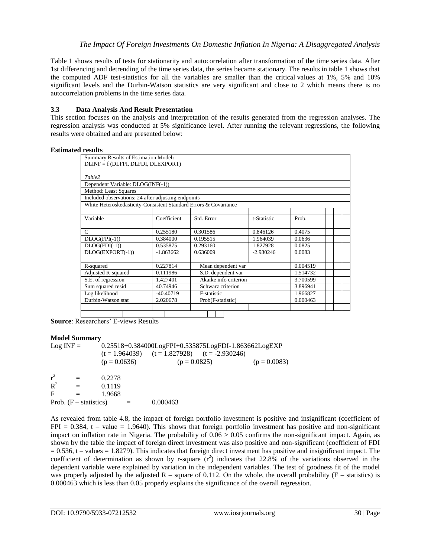Table 1 shows results of tests for stationarity and autocorrelation after transformation of the time series data. After 1st differencing and detrending of the time series data, the series became stationary. The results in table 1 shows that the computed ADF test-statistics for all the variables are smaller than the critical values at 1%, 5% and 10% significant levels and the Durbin-Watson statistics are very significant and close to 2 which means there is no autocorrelation problems in the time series data.

## **3.3 Data Analysis And Result Presentation**

This section focuses on the analysis and interpretation of the results generated from the regression analyses. The regression analysis was conducted at 5% significance level. After running the relevant regressions, the following results were obtained and are presented below:

## **Estimated results**

| Summary Results of Estimation Model:                             |             |                       |             |          |  |
|------------------------------------------------------------------|-------------|-----------------------|-------------|----------|--|
| DLINF = f (DLFPI, DLFDI, DLEXPORT)                               |             |                       |             |          |  |
|                                                                  |             |                       |             |          |  |
| Table2                                                           |             |                       |             |          |  |
| Dependent Variable: DLOG(INF(-1))                                |             |                       |             |          |  |
| Method: Least Squares                                            |             |                       |             |          |  |
| Included observations: 24 after adjusting endpoints              |             |                       |             |          |  |
| White Heteroskedasticity-Consistent Standard Errors & Covariance |             |                       |             |          |  |
|                                                                  |             |                       |             |          |  |
| Variable                                                         | Coefficient | Std. Error            | t-Statistic | Prob.    |  |
|                                                                  |             |                       |             |          |  |
| $\mathcal{C}$                                                    | 0.255180    | 0.301586              | 0.846126    | 0.4075   |  |
| $DLOG(FPI(-1))$                                                  | 0.384000    | 0.195515              | 1.964039    | 0.0636   |  |
| $DLOG(FDI(-1))$                                                  | 0.535875    | 0.293160              | 1.827928    | 0.0825   |  |
| DLOG(EXPORT(-1))                                                 | $-1.863662$ | 0.636009              | $-2.930246$ | 0.0083   |  |
|                                                                  |             |                       |             |          |  |
| R-squared                                                        | 0.227814    | Mean dependent var    |             | 0.004519 |  |
| Adjusted R-squared                                               | 0.111986    | S.D. dependent var    |             | 1.514732 |  |
| S.E. of regression                                               | 1.427401    | Akaike info criterion |             | 3.700599 |  |
| Sum squared resid                                                | 40.74946    | Schwarz criterion     |             | 3.896941 |  |
| Log likelihood                                                   | $-40.40719$ | F-statistic           |             | 1.966827 |  |
| Durbin-Watson stat                                               | 2.020678    | Prob(F-statistic)     |             | 0.000463 |  |
|                                                                  |             |                       |             |          |  |
|                                                                  |             |                       |             |          |  |

**Source**: Researchers' E-views Results

## **Model Summary**

| $Log INF =$ |                          |                | 0.25518+0.384000LogFPI+0.535875LogFDI-1.863662LogEXP |                |  |  |
|-------------|--------------------------|----------------|------------------------------------------------------|----------------|--|--|
|             |                          |                | $(t = 1.964039)$ $(t = 1.827928)$ $(t = -2.930246)$  |                |  |  |
|             |                          | $(p = 0.0636)$ | $(p = 0.0825)$                                       | $(p = 0.0083)$ |  |  |
| $r^2$       | $=$                      | 0.2278         |                                                      |                |  |  |
| $R^2$       | $=$                      | 0.1119         |                                                      |                |  |  |
| F           |                          | 1.9668         |                                                      |                |  |  |
|             | Prob. $(F - statistics)$ |                | 0.000463                                             |                |  |  |

As revealed from table 4.8, the impact of foreign portfolio investment is positive and insignificant (coefficient of  $FPI = 0.384$ , t – value = 1.9640). This shows that foreign portfolio investment has positive and non-significant impact on inflation rate in Nigeria. The probability of  $0.06 > 0.05$  confirms the non-significant impact. Again, as shown by the table the impact of foreign direct investment was also positive and non-significant (coefficient of FDI  $= 0.536$ , t – values  $= 1.8279$ ). This indicates that foreign direct investment has positive and insignificant impact. The coefficient of determination as shown by r-square  $(r^2)$  indicates that 22.8% of the variations observed in the dependent variable were explained by variation in the independent variables. The test of goodness fit of the model was properly adjusted by the adjusted  $R$  – square of 0.112. On the whole, the overall probability ( $F$  – statistics) is 0.000463 which is less than 0.05 properly explains the significance of the overall regression.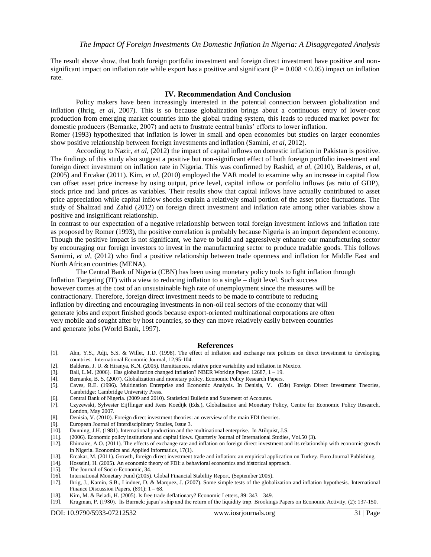The result above show, that both foreign portfolio investment and foreign direct investment have positive and nonsignificant impact on inflation rate while export has a positive and significant ( $P = 0.008 < 0.05$ ) impact on inflation rate.

#### **IV. Recommendation And Conclusion**

Policy makers have been increasingly interested in the potential connection between globalization and inflation (Ihrig, *et al*, 2007). This is so because globalization brings about a continuous entry of lower-cost production from emerging market countries into the global trading system, this leads to reduced market power for domestic producers (Bernanke, 2007) and acts to frustrate central banks' efforts to lower inflation.

Romer (1993) hypothesized that inflation is lower in small and open economies but studies on larger economies show positive relationship between foreign investments and inflation (Samini, *et al*, 2012).

According to Nazir, *et al*, (2012) the impact of capital inflows on domestic inflation in Pakistan is positive. The findings of this study also suggest a positive but non-significant effect of both foreign portfolio investment and foreign direct investment on inflation rate in Nigeria. This was confirmed by Rashid, *et al*, (2010), Balderas, *et al,* (2005) and Ercakar (2011). Kim, *et al*, (2010) employed the VAR model to examine why an increase in capital flow can offset asset price increase by using output, price level, capital inflow or portfolio inflows (as ratio of GDP), stock price and land prices as variables. Their results show that capital inflows have actually contributed to asset price appreciation while capital inflow shocks explain a relatively small portion of the asset price fluctuations. The study of Shalizad and Zahid (2012) on foreign direct investment and inflation rate among other variables show a positive and insignificant relationship.

In contrast to our expectation of a negative relationship between total foreign investment inflows and inflation rate as proposed by Romer (1993), the positive correlation is probably because Nigeria is an import dependent economy. Though the positive impact is not significant, we have to build and aggressively enhance our manufacturing sector by encouraging our foreign investors to invest in the manufacturing sector to produce tradable goods. This follows Samimi, *et al,* (2012) who find a positive relationship between trade openness and inflation for Middle East and North African countries (MENA).

The Central Bank of Nigeria (CBN) has been using monetary policy tools to fight inflation through Inflation Targeting (IT) with a view to reducing inflation to a single – digit level. Such success however comes at the cost of an unsustainable high rate of unemployment since the measures will be contractionary. Therefore, foreign direct investment needs to be made to contribute to reducing inflation by directing and encouraging investments in non-oil real sectors of the economy that will generate jobs and export finished goods because export-oriented multinational corporations are often very mobile and sought after by host countries, so they can move relatively easily between countries and generate jobs (World Bank, 1997).

#### **References**

- [1]. Ahn, Y.S., Adji, S.S. & Willet, T.D. (1998). The effect of inflation and exchange rate policies on direct investment to developing countries. International Economic Journal, 12,95-104.
- [2]. Balderas, J. U. & Hiranya, K.N. (2005). Remittances, relative price variability and inflation in Mexico.
- [3]. Ball, L.M. (2006). Has globalization changed inflation? NBER Working Paper. 12687, 1 19.
- [4]. Bernanke, B. S. (2007). Globalization and monetary policy. Economic Policy Research Papers.
- [5]. Caves, R.E. (1996). Multination Enterprise and Economic Analysis. In Denisia, V. (Eds) Foreign Direct Investment Theories, Cambridge: Cambridge University Press.
- [6]. Central Bank of Nigeria. (2009 and 2010). Statistical Bulletin and Statement of Accounts.
- [7]. Czyzewski, Sylvester Eijffinger and Kees Koedijk (Eds.), Globalisation and Monetary Policy, Centre for Economic Policy Research, London, May 2007.
- [8]. Denisia, V. (2010). Foreign direct investment theories: an overview of the main FDI theories.
- [9]. European Journal of Interdisciplinary Studies, Issue 3.
- [10]. Dunning, J.H. (1981). International production and the multinational enterprise. In Atilquist, J.S.
- [11]. (2006). Economic policy institutions and capital flows. Quarterly Journal of International Studies, Vol.50 (3).
- [12]. Ehimaire, A.O. (2011). The effects of exchange rate and inflation on foreign direct investment and its relationship with economic growth in Nigeria. Economics and Applied Informatics, 17(1).
- [13]. Ercakar, M. (2011). Growth, foreign direct investment trade and inflation: an empirical application on Turkey. Euro Journal Publishing.
- [14]. Hosseini, H. (2005). An economic theory of FDI: a behavioral economics and historical approach.
- [15]. The Journal of Socio-Economic, 34.
- [16]. International Monetary Fund (2005). Global Financial Stability Report, (September 2005).
- [17]. Ihrig, J., Kamin, S.B., Lindner, D. & Marquez, J. (2007). Some simple tests of the globalization and inflation hypothesis. International Finance Discussion Papers,  $(891): 1 - 68$ .
- [18]. Kim, M. & Beladi, H. (2005). Is free trade deflationary? Economic Letters, 89: 343 349.
- [19]. Krugman, P. (1980). Its Barrack: japan's ship and the return of the liquidity trap. Brookings Papers on Economic Activity, (2): 137-150.